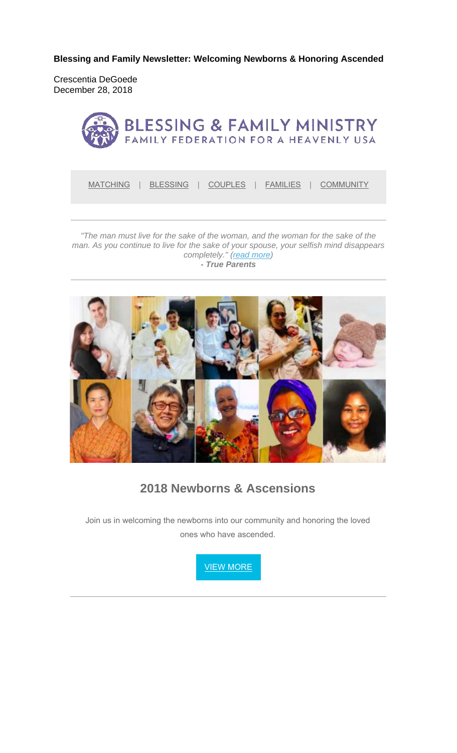**Blessing and Family Newsletter: Welcoming Newborns & Honoring Ascended**

Crescentia DeGoede December 28, 2018



MATCHING | BLESSING | COUPLES | FAMILIES | COMMUNITY

*"The man must live for the sake of the woman, and the woman for the sake of the man. As you continue to live for the sake of your spouse, your selfish mind disappears completely." (read more) - True Parents*



## **2018 Newborns & Ascensions**

Join us in welcoming the newborns into our community and honoring the loved ones who have ascended.

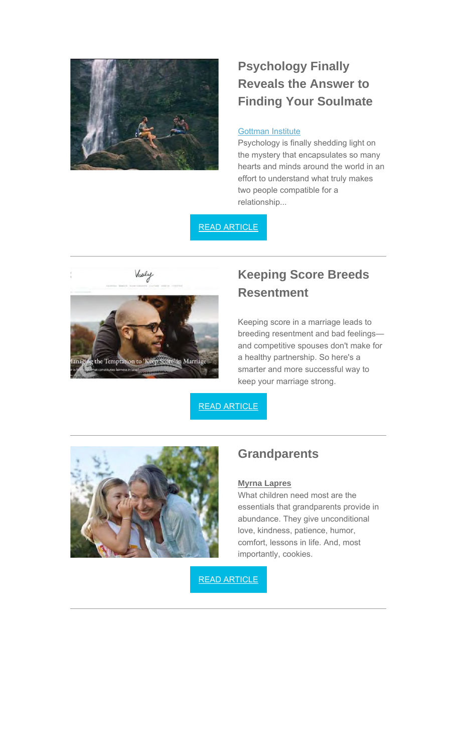

# **Psychology Finally Reveals the Answer to Finding Your Soulmate**

#### Gottman Institute

Psychology is finally shedding light on the mystery that encapsulates so many hearts and minds around the world in an effort to understand what truly makes two people compatible for a relationship...

#### READ ARTICLE



## **Keeping Score Breeds Resentment**

Keeping score in a marriage leads to breeding resentment and bad feelings and competitive spouses don't make for a healthy partnership. So here's a smarter and more successful way to keep your marriage strong.

READ ARTICLE



## **Grandparents**

#### **Myrna Lapres**

What children need most are the essentials that grandparents provide in abundance. They give unconditional love, kindness, patience, humor, comfort, lessons in life. And, most importantly, cookies.

READ ARTICLE